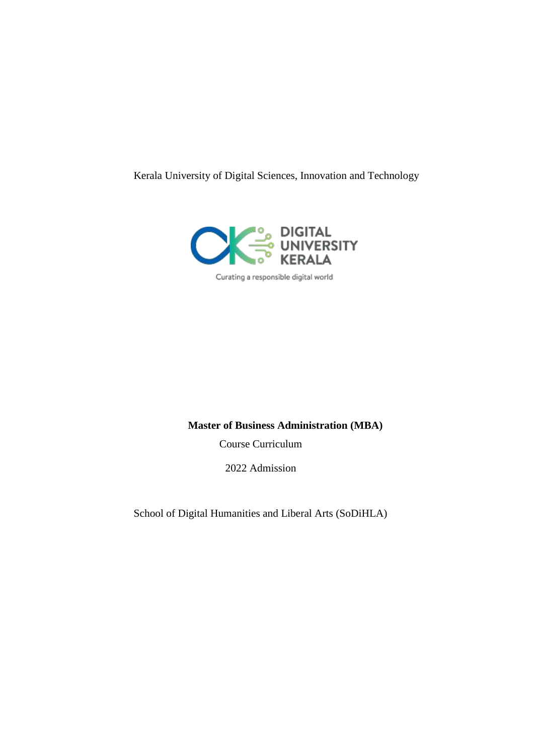Kerala University of Digital Sciences, Innovation and Technology



Curating a responsible digital world

# **Master of Business Administration (MBA)**

Course Curriculum

2022 Admission

School of Digital Humanities and Liberal Arts (SoDiHLA)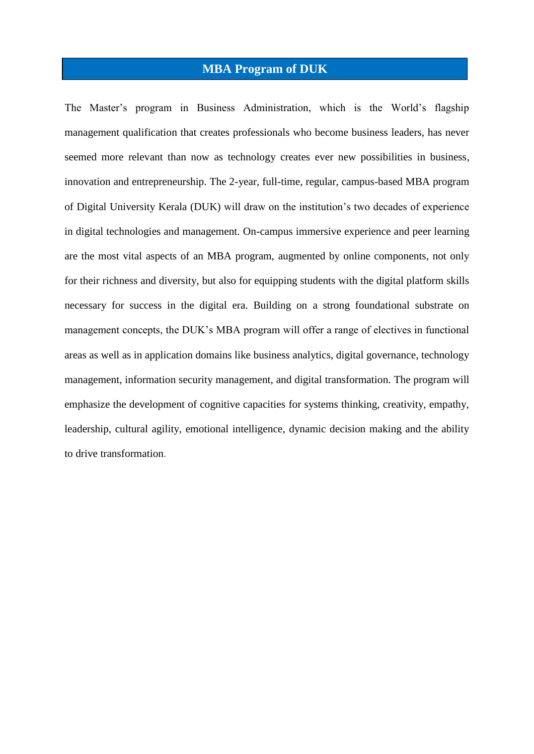# **MBA Program of DUK**

The Master's program in Business Administration, which is the World's flagship management qualification that creates professionals who become business leaders, has never seemed more relevant than now as technology creates ever new possibilities in business, innovation and entrepreneurship. The 2-year, full-time, regular, campus-based MBA program of Digital University Kerala (DUK) will draw on the institution's two decades of experience in digital technologies and management. On-campus immersive experience and peer learning are the most vital aspects of an MBA program, augmented by online components, not only for their richness and diversity, but also for equipping students with the digital platform skills necessary for success in the digital era. Building on a strong foundational substrate on management concepts, the DUK's MBA program will offer a range of electives in functional areas as well as in application domains like business analytics, digital governance, technology management, information security management, and digital transformation. The program will emphasize the development of cognitive capacities for systems thinking, creativity, empathy, leadership, cultural agility, emotional intelligence, dynamic decision making and the ability to drive transformation.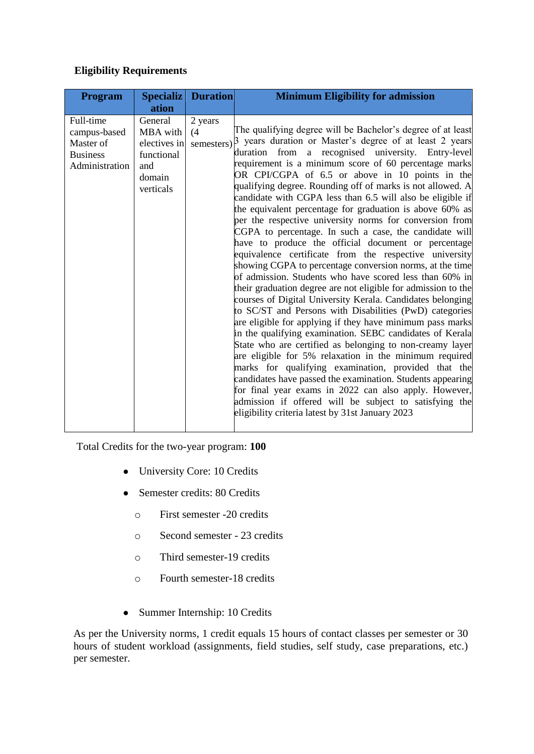# **Eligibility Requirements**

| <b>Program</b>                                                              | <b>Specializ</b>                                                                | <b>Duration</b> | <b>Minimum Eligibility for admission</b>                                                                                                                                                                                                                                                                                                                                                                                                                                                                                                                                                                                                                                                                                                                                                                                                                                                                                                                                                                                                                                                                                                                                                                                                                                                                                                                                                                                                                                                                                                                                                            |
|-----------------------------------------------------------------------------|---------------------------------------------------------------------------------|-----------------|-----------------------------------------------------------------------------------------------------------------------------------------------------------------------------------------------------------------------------------------------------------------------------------------------------------------------------------------------------------------------------------------------------------------------------------------------------------------------------------------------------------------------------------------------------------------------------------------------------------------------------------------------------------------------------------------------------------------------------------------------------------------------------------------------------------------------------------------------------------------------------------------------------------------------------------------------------------------------------------------------------------------------------------------------------------------------------------------------------------------------------------------------------------------------------------------------------------------------------------------------------------------------------------------------------------------------------------------------------------------------------------------------------------------------------------------------------------------------------------------------------------------------------------------------------------------------------------------------------|
|                                                                             | ation                                                                           |                 |                                                                                                                                                                                                                                                                                                                                                                                                                                                                                                                                                                                                                                                                                                                                                                                                                                                                                                                                                                                                                                                                                                                                                                                                                                                                                                                                                                                                                                                                                                                                                                                                     |
| Full-time<br>campus-based<br>Master of<br><b>Business</b><br>Administration | General<br>MBA with<br>electives in<br>functional<br>and<br>domain<br>verticals | 2 years<br>(4)  | The qualifying degree will be Bachelor's degree of at least<br>semesters) 3 years duration or Master's degree of at least 2 years<br>from<br>a recognised university. Entry-level<br>duration<br>requirement is a minimum score of 60 percentage marks<br>OR CPI/CGPA of 6.5 or above in 10 points in the<br>qualifying degree. Rounding off of marks is not allowed. A<br>candidate with CGPA less than 6.5 will also be eligible if<br>the equivalent percentage for graduation is above 60% as<br>per the respective university norms for conversion from<br>CGPA to percentage. In such a case, the candidate will<br>have to produce the official document or percentage<br>equivalence certificate from the respective university<br>showing CGPA to percentage conversion norms, at the time<br>of admission. Students who have scored less than 60% in<br>their graduation degree are not eligible for admission to the<br>courses of Digital University Kerala. Candidates belonging<br>to SC/ST and Persons with Disabilities (PwD) categories<br>are eligible for applying if they have minimum pass marks<br>in the qualifying examination. SEBC candidates of Kerala<br>State who are certified as belonging to non-creamy layer<br>are eligible for 5% relaxation in the minimum required<br>marks for qualifying examination, provided that the<br>candidates have passed the examination. Students appearing<br>for final year exams in 2022 can also apply. However,<br>admission if offered will be subject to satisfying the<br>eligibility criteria latest by 31st January 2023 |

Total Credits for the two-year program: **100**

- University Core: 10 Credits
- Semester credits: 80 Credits
	- o First semester -20 credits
	- o Second semester 23 credits
	- o Third semester-19 credits
	- o Fourth semester-18 credits
- Summer Internship: 10 Credits

As per the University norms, 1 credit equals 15 hours of contact classes per semester or 30 hours of student workload (assignments, field studies, self study, case preparations, etc.) per semester.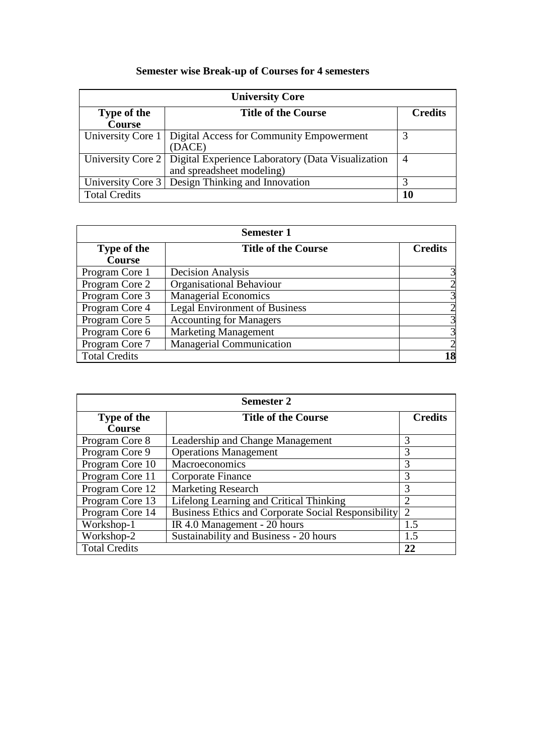# **Semester wise Break-up of Courses for 4 semesters**

| <b>University Core</b>                           |                                                                       |                |  |
|--------------------------------------------------|-----------------------------------------------------------------------|----------------|--|
| <b>Title of the Course</b><br><b>Type of the</b> |                                                                       | <b>Credits</b> |  |
| <b>Course</b>                                    |                                                                       |                |  |
|                                                  | University Core 1   Digital Access for Community Empowerment          | 3              |  |
|                                                  | (DACE)                                                                |                |  |
|                                                  | University Core 2   Digital Experience Laboratory (Data Visualization | 4              |  |
|                                                  | and spreadsheet modeling)                                             |                |  |
|                                                  | University Core 3   Design Thinking and Innovation                    | 3              |  |
| <b>Total Credits</b>                             |                                                                       | 10             |  |

| <b>Semester 1</b>                         |                                      |                |
|-------------------------------------------|--------------------------------------|----------------|
| <b>Title of the Course</b><br>Type of the |                                      | <b>Credits</b> |
| <b>Course</b>                             |                                      |                |
| Program Core 1                            | <b>Decision Analysis</b>             |                |
| Program Core 2                            | <b>Organisational Behaviour</b>      |                |
| Program Core 3                            | <b>Managerial Economics</b>          |                |
| Program Core 4                            | <b>Legal Environment of Business</b> |                |
| Program Core 5                            | <b>Accounting for Managers</b>       | 3              |
| Program Core 6                            | <b>Marketing Management</b>          | 3              |
| Program Core 7                            | <b>Managerial Communication</b>      |                |
| <b>Total Credits</b>                      |                                      | 18             |

| <b>Semester 2</b>                                |                                                     |                |  |
|--------------------------------------------------|-----------------------------------------------------|----------------|--|
| <b>Title of the Course</b><br><b>Type of the</b> |                                                     | <b>Credits</b> |  |
| <b>Course</b>                                    |                                                     |                |  |
| Program Core 8                                   | Leadership and Change Management                    | 3              |  |
| Program Core 9                                   | <b>Operations Management</b>                        | 3              |  |
| Program Core 10                                  | Macroeconomics                                      | 3              |  |
| Program Core 11                                  | Corporate Finance                                   | 3              |  |
| Program Core 12                                  | <b>Marketing Research</b>                           | 3              |  |
| Program Core 13                                  | <b>Lifelong Learning and Critical Thinking</b>      | 2              |  |
| Program Core 14                                  | Business Ethics and Corporate Social Responsibility | 2              |  |
| Workshop-1                                       | IR 4.0 Management - 20 hours                        | 1.5            |  |
| Workshop-2                                       | Sustainability and Business - 20 hours              | 1.5            |  |
| <b>Total Credits</b>                             |                                                     | 22             |  |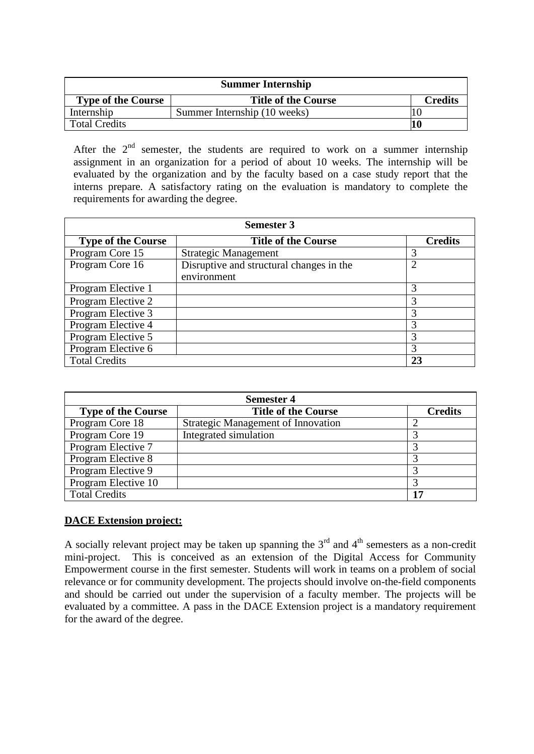| <b>Summer Internship</b>  |                              |                |  |
|---------------------------|------------------------------|----------------|--|
| <b>Type of the Course</b> | <b>Title of the Course</b>   | <b>Credits</b> |  |
| Internship                | Summer Internship (10 weeks) |                |  |
| <b>Total Credits</b>      |                              | 10             |  |

After the  $2<sup>nd</sup>$  semester, the students are required to work on a summer internship assignment in an organization for a period of about 10 weeks. The internship will be evaluated by the organization and by the faculty based on a case study report that the interns prepare. A satisfactory rating on the evaluation is mandatory to complete the requirements for awarding the degree.

| <b>Semester 3</b>         |                                          |                |  |
|---------------------------|------------------------------------------|----------------|--|
| <b>Type of the Course</b> | <b>Title of the Course</b>               | <b>Credits</b> |  |
| Program Core 15           | <b>Strategic Management</b>              | 3              |  |
| Program Core 16           | Disruptive and structural changes in the | 2              |  |
|                           | environment                              |                |  |
| Program Elective 1        |                                          | 3              |  |
| Program Elective 2        |                                          | 3              |  |
| Program Elective 3        |                                          | 3              |  |
| Program Elective 4        |                                          | 3              |  |
| Program Elective 5        |                                          | 3              |  |
| Program Elective 6        |                                          | 3              |  |
| <b>Total Credits</b>      |                                          | 23             |  |

| <b>Semester 4</b>         |                                    |                |  |
|---------------------------|------------------------------------|----------------|--|
| <b>Type of the Course</b> | <b>Title of the Course</b>         | <b>Credits</b> |  |
| Program Core 18           | Strategic Management of Innovation |                |  |
| Program Core 19           | Integrated simulation              |                |  |
| Program Elective 7        |                                    |                |  |
| Program Elective 8        |                                    |                |  |
| Program Elective 9        |                                    |                |  |
| Program Elective 10       |                                    |                |  |
| <b>Total Credits</b>      |                                    | 17             |  |

#### **DACE Extension project:**

A socially relevant project may be taken up spanning the  $3<sup>rd</sup>$  and  $4<sup>th</sup>$  semesters as a non-credit mini-project. This is conceived as an extension of the Digital Access for Community Empowerment course in the first semester. Students will work in teams on a problem of social relevance or for community development. The projects should involve on-the-field components and should be carried out under the supervision of a faculty member. The projects will be evaluated by a committee. A pass in the DACE Extension project is a mandatory requirement for the award of the degree.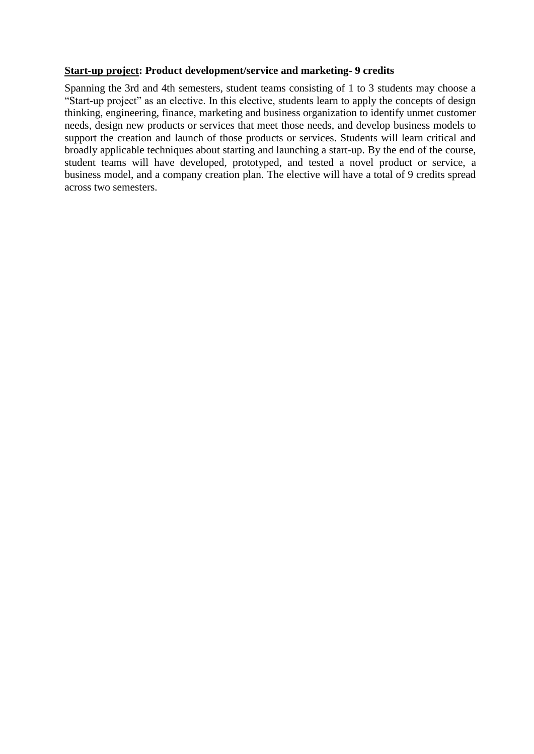#### **Start-up project: Product development/service and marketing- 9 credits**

Spanning the 3rd and 4th semesters, student teams consisting of 1 to 3 students may choose a "Start-up project" as an elective. In this elective, students learn to apply the concepts of design thinking, engineering, finance, marketing and business organization to identify unmet customer needs, design new products or services that meet those needs, and develop business models to support the creation and launch of those products or services. Students will learn critical and broadly applicable techniques about starting and launching a start-up. By the end of the course, student teams will have developed, prototyped, and tested a novel product or service, a business model, and a company creation plan. The elective will have a total of 9 credits spread across two semesters.